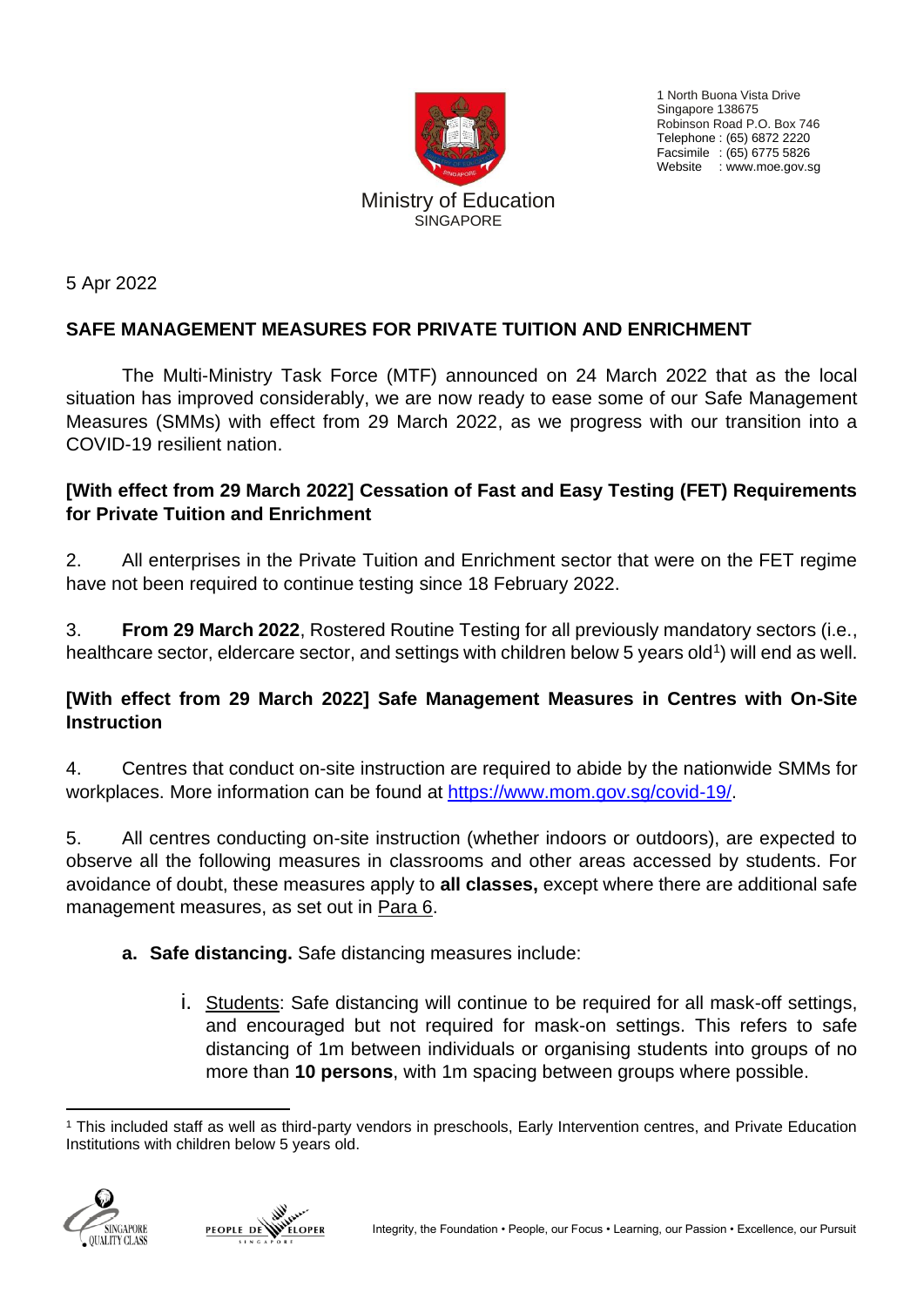

1 North Buona Vista Drive Singapore 138675 Robinson Road P.O. Box 746 Telephone : (65) 6872 2220 Facsimile : (65) 6775 5826 Website : www.moe.gov.sg

5 Apr 2022

## **SAFE MANAGEMENT MEASURES FOR PRIVATE TUITION AND ENRICHMENT**

The Multi-Ministry Task Force (MTF) announced on 24 March 2022 that as the local situation has improved considerably, we are now ready to ease some of our Safe Management Measures (SMMs) with effect from 29 March 2022, as we progress with our transition into a COVID-19 resilient nation.

## **[With effect from 29 March 2022] Cessation of Fast and Easy Testing (FET) Requirements for Private Tuition and Enrichment**

2. All enterprises in the Private Tuition and Enrichment sector that were on the FET regime have not been required to continue testing since 18 February 2022.

3. **From 29 March 2022**, Rostered Routine Testing for all previously mandatory sectors (i.e., healthcare sector, eldercare sector, and settings with children below 5 years old<sup>1</sup>) will end as well.

## **[With effect from 29 March 2022] Safe Management Measures in Centres with On-Site Instruction**

4. Centres that conduct on-site instruction are required to abide by the nationwide SMMs for workplaces. More information can be found at [https://www.mom.gov.sg/covid-19/.](https://www.mom.gov.sg/covid-19/)

5. All centres conducting on-site instruction (whether indoors or outdoors), are expected to observe all the following measures in classrooms and other areas accessed by students. For avoidance of doubt, these measures apply to **all classes,** except where there are additional safe management measures, as set out in Para 6.

- **a. Safe distancing.** Safe distancing measures include:
	- i. Students: Safe distancing will continue to be required for all mask-off settings, and encouraged but not required for mask-on settings. This refers to safe distancing of 1m between individuals or organising students into groups of no more than **10 persons**, with 1m spacing between groups where possible.

<sup>1</sup> This included staff as well as third-party vendors in preschools, Early Intervention centres, and Private Education Institutions with children below 5 years old.



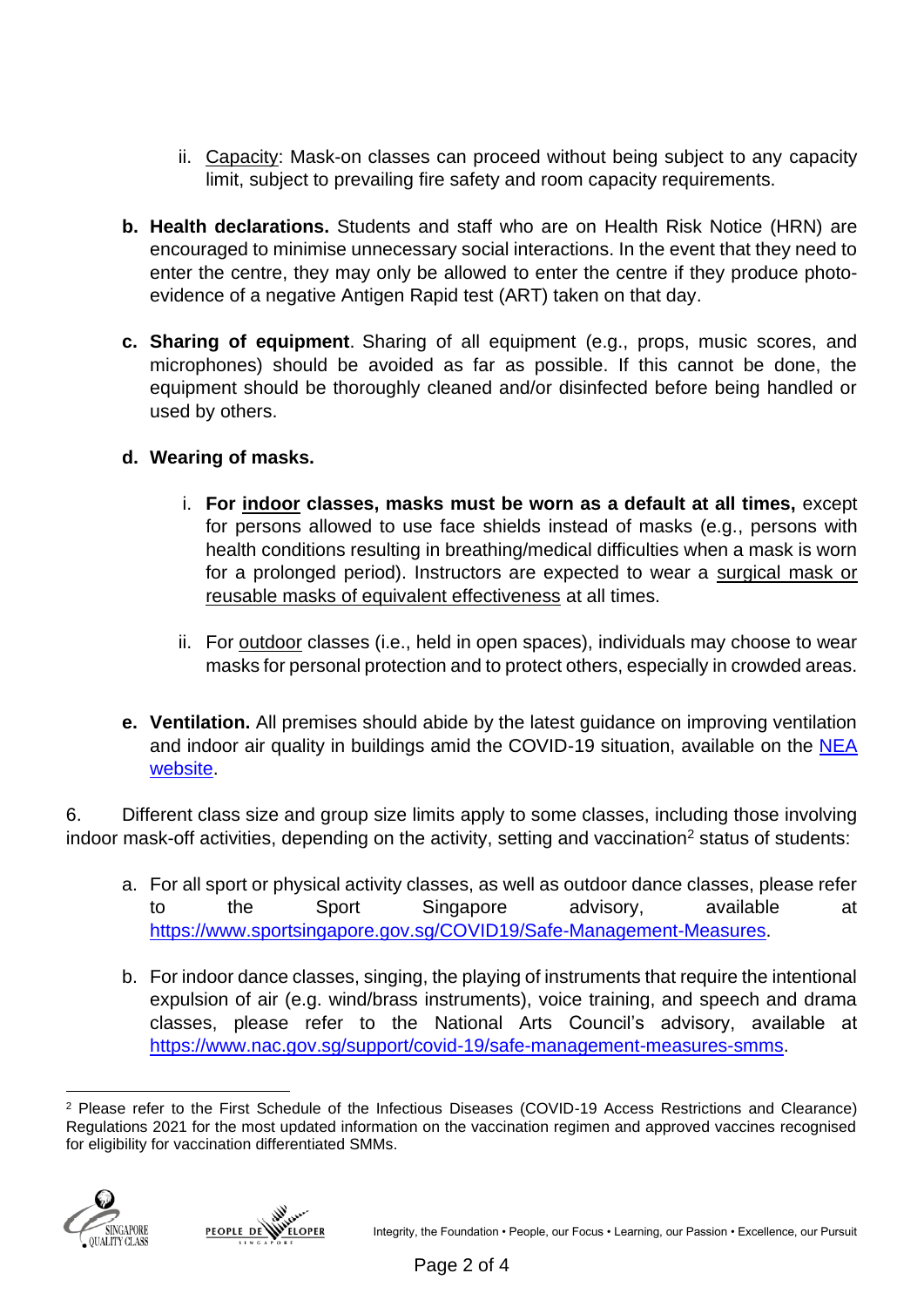- ii. Capacity: Mask-on classes can proceed without being subject to any capacity limit, subject to prevailing fire safety and room capacity requirements.
- **b. Health declarations.** Students and staff who are on Health Risk Notice (HRN) are encouraged to minimise unnecessary social interactions. In the event that they need to enter the centre, they may only be allowed to enter the centre if they produce photoevidence of a negative Antigen Rapid test (ART) taken on that day.
- **c. Sharing of equipment**. Sharing of all equipment (e.g., props, music scores, and microphones) should be avoided as far as possible. If this cannot be done, the equipment should be thoroughly cleaned and/or disinfected before being handled or used by others.
- **d. Wearing of masks.** 
	- i. **For indoor classes, masks must be worn as a default at all times,** except for persons allowed to use face shields instead of masks (e.g., persons with health conditions resulting in breathing/medical difficulties when a mask is worn for a prolonged period). Instructors are expected to wear a surgical mask or reusable masks of equivalent effectiveness at all times.
	- ii. For outdoor classes (i.e., held in open spaces), individuals may choose to wear masks for personal protection and to protect others, especially in crowded areas.
- **e. Ventilation.** All premises should abide by the latest guidance on improving ventilation and indoor air quality in buildings amid the COVID-19 situation, available on the [NEA](https://www.nea.gov.sg/our-services/public-cleanliness/environmental-cleaning-guidelines/advisories/guidance-on-improving-ventilation-and-indoor-air-quality-in-buildings-amid-the-covid-19-situation)  [website.](https://www.nea.gov.sg/our-services/public-cleanliness/environmental-cleaning-guidelines/advisories/guidance-on-improving-ventilation-and-indoor-air-quality-in-buildings-amid-the-covid-19-situation)

6. Different class size and group size limits apply to some classes, including those involving indoor mask-off activities, depending on the activity, setting and vaccination<sup>2</sup> status of students:

- a. For all sport or physical activity classes, as well as outdoor dance classes, please refer to the Sport Singapore advisory, available at [https://www.sportsingapore.gov.sg/COVID19/Safe-Management-Measures.](https://www.sportsingapore.gov.sg/COVID19/Safe-Management-Measures)
- b. For indoor dance classes, singing, the playing of instruments that require the intentional expulsion of air (e.g. wind/brass instruments), voice training, and speech and drama classes, please refer to the National Arts Council's advisory, available at [https://www.nac.gov.sg/support/covid-19/safe-management-measures-smms.](https://www.nac.gov.sg/support/covid-19/safe-management-measures-smms)

<sup>2</sup> Please refer to the First Schedule of the Infectious Diseases (COVID-19 Access Restrictions and Clearance) Regulations 2021 for the most updated information on the vaccination regimen and approved vaccines recognised for eligibility for vaccination differentiated SMMs.



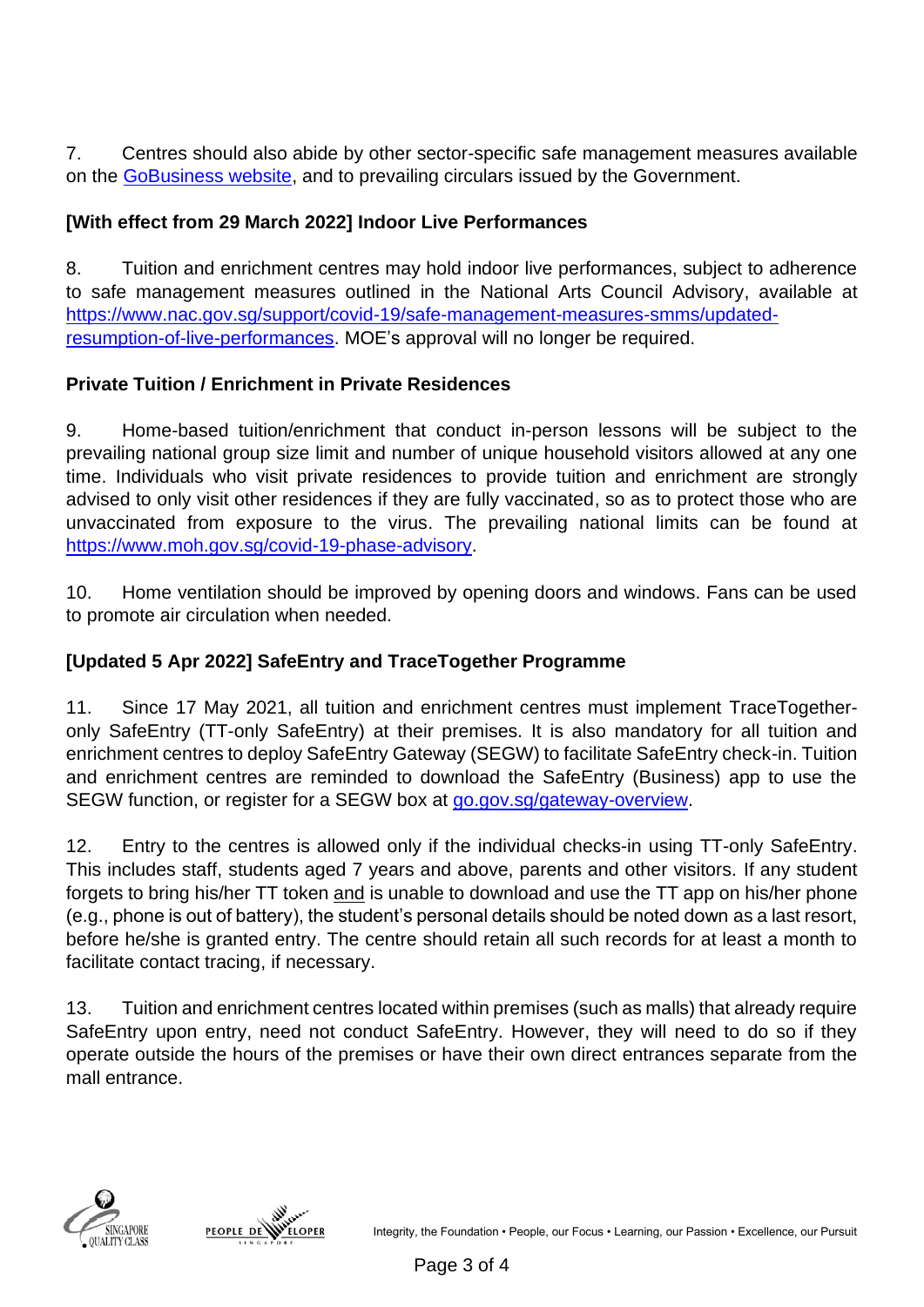7. Centres should also abide by other sector-specific safe management measures available on the [GoBusiness website,](https://covid.gobusiness.gov.sg/safemanagement/sector/) and to prevailing circulars issued by the Government.

## **[With effect from 29 March 2022] Indoor Live Performances**

8. Tuition and enrichment centres may hold indoor live performances, subject to adherence to safe management measures outlined in the National Arts Council Advisory, available at [https://www.nac.gov.sg/support/covid-19/safe-management-measures-smms/updated](https://www.nac.gov.sg/support/covid-19/safe-management-measures-smms/updated-resumption-of-live-performances)[resumption-of-live-performances.](https://www.nac.gov.sg/support/covid-19/safe-management-measures-smms/updated-resumption-of-live-performances) MOE's approval will no longer be required.

## **Private Tuition / Enrichment in Private Residences**

9. Home-based tuition/enrichment that conduct in-person lessons will be subject to the prevailing national group size limit and number of unique household visitors allowed at any one time. Individuals who visit private residences to provide tuition and enrichment are strongly advised to only visit other residences if they are fully vaccinated, so as to protect those who are unvaccinated from exposure to the virus. The prevailing national limits can be found at [https://www.moh.gov.sg/covid-19-phase-advisory.](https://www.moh.gov.sg/covid-19-phase-advisory)

10. Home ventilation should be improved by opening doors and windows. Fans can be used to promote air circulation when needed.

# **[Updated 5 Apr 2022] SafeEntry and TraceTogether Programme**

11. Since 17 May 2021, all tuition and enrichment centres must implement TraceTogetheronly SafeEntry (TT-only SafeEntry) at their premises. It is also mandatory for all tuition and enrichment centres to deploy SafeEntry Gateway (SEGW) to facilitate SafeEntry check-in. Tuition and enrichment centres are reminded to download the SafeEntry (Business) app to use the SEGW function, or register for a SEGW box at [go.gov.sg/gateway-overview.](file:///C:/Users/MOE-11599I/AppData/Local/Microsoft/Windows/INetCache/Content.Outlook/RYFIWX0Y/go.gov.sg/gateway-overview)

12. Entry to the centres is allowed only if the individual checks-in using TT-only SafeEntry. This includes staff, students aged 7 years and above, parents and other visitors. If any student forgets to bring his/her TT token and is unable to download and use the TT app on his/her phone (e.g., phone is out of battery), the student's personal details should be noted down as a last resort, before he/she is granted entry. The centre should retain all such records for at least a month to facilitate contact tracing, if necessary.

13. Tuition and enrichment centres located within premises (such as malls) that already require SafeEntry upon entry, need not conduct SafeEntry. However, they will need to do so if they operate outside the hours of the premises or have their own direct entrances separate from the mall entrance.